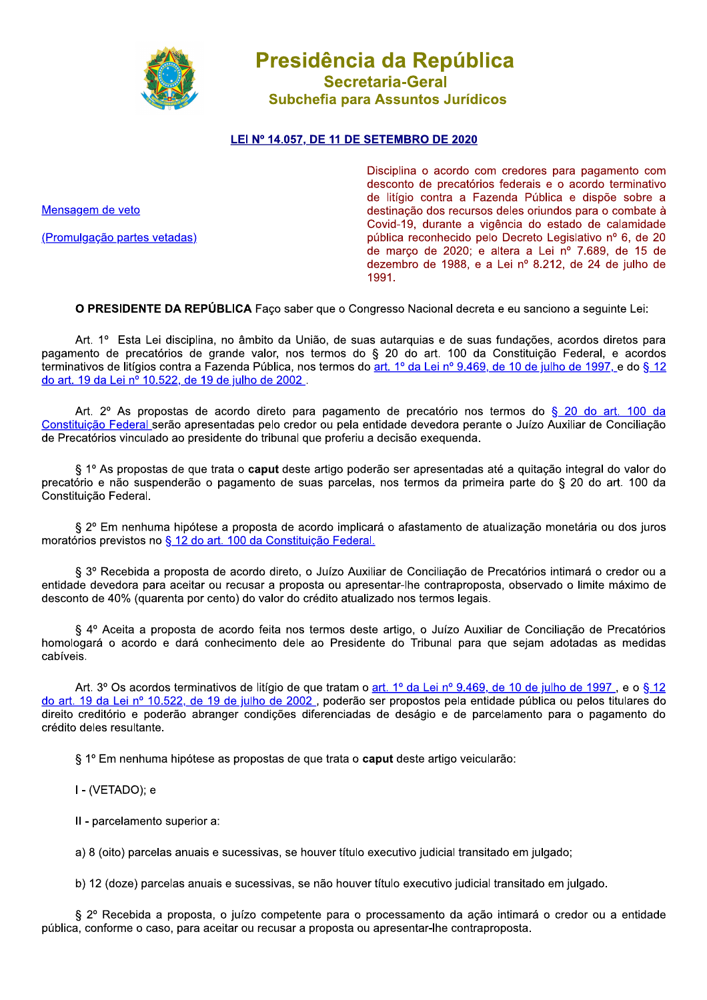

Presidência da República **Secretaria-Geral** Subchefia para Assuntos Jurídicos

## LEI Nº 14.057, DE 11 DE SETEMBRO DE 2020

Mensagem de veto

(Promulgação partes vetadas)

Disciplina o acordo com credores para pagamento com desconto de precatórios federais e o acordo terminativo de litígio contra a Fazenda Pública e dispõe sobre a destinação dos recursos deles oriundos para o combate à Covid-19, durante a vigência do estado de calamidade pública reconhecido pelo Decreto Legislativo nº 6, de 20 de março de 2020; e altera a Lei nº 7.689, de 15 de dezembro de 1988, e a Lei nº 8.212, de 24 de julho de 1991.

O PRESIDENTE DA REPÚBLICA Faco saber que o Congresso Nacional decreta e eu sanciono a seguinte Lei:

Art. 1º Esta Lei disciplina, no âmbito da União, de suas autarquias e de suas fundações, acordos diretos para pagamento de precatórios de grande valor, nos termos do § 20 do art. 100 da Constituição Federal, e acordos terminativos de litígios contra a Fazenda Pública, nos termos do art. 1º da Lei nº 9.469, de 10 de julho de 1997, e do § 12 do art. 19 da Lei nº 10.522, de 19 de julho de 2002.

Art. 2º As propostas de acordo direto para pagamento de precatório nos termos do § 20 do art. 100 da Constituição Federal serão apresentadas pelo credor ou pela entidade devedora perante o Juízo Auxiliar de Conciliação de Precatórios vinculado ao presidente do tribunal que proferiu a decisão exeguenda.

§ 1º As propostas de que trata o caput deste artigo poderão ser apresentadas até a quitação integral do valor do precatório e não suspenderão o pagamento de suas parcelas, nos termos da primeira parte do § 20 do art. 100 da Constituicão Federal.

§ 2º Em nenhuma hipótese a proposta de acordo implicará o afastamento de atualização monetária ou dos juros moratórios previstos no § 12 do art. 100 da Constituição Federal.

§ 3º Recebida a proposta de acordo direto, o Juízo Auxiliar de Conciliação de Precatórios intimará o credor ou a entidade devedora para aceitar ou recusar a proposta ou apresentar-lhe contraproposta, observado o limite máximo de desconto de 40% (quarenta por cento) do valor do crédito atualizado nos termos legais.

§ 4º Aceita a proposta de acordo feita nos termos deste artigo, o Juízo Auxiliar de Conciliação de Precatórios homologará o acordo e dará conhecimento dele ao Presidente do Tribunal para que sejam adotadas as medidas cabíveis.

Art. 3° Os acordos terminativos de litígio de que tratam o art. 1° da Lei n° 9.469, de 10 de julho de 1997, e o § 12 do art. 19 da Lei nº 10.522, de 19 de julho de 2002, poderão ser propostos pela entidade pública ou pelos titulares do direito creditório e poderão abranger condições diferenciadas de deságio e de parcelamento para o pagamento do crédito deles resultante.

§ 1º Em nenhuma hipótese as propostas de que trata o caput deste artigo veicularão:

I - (VETADO): e

II - parcelamento superior a:

a) 8 (oito) parcelas anuais e sucessivas, se houver título executivo iudicial transitado em julgado:

b) 12 (doze) parcelas anuais e sucessivas, se não houver título executivo judicial transitado em julgado.

§ 2º Recebida a proposta, o juízo competente para o processamento da ação intimará o credor ou a entidade pública, conforme o caso, para aceitar ou recusar a proposta ou apresentar-lhe contraproposta.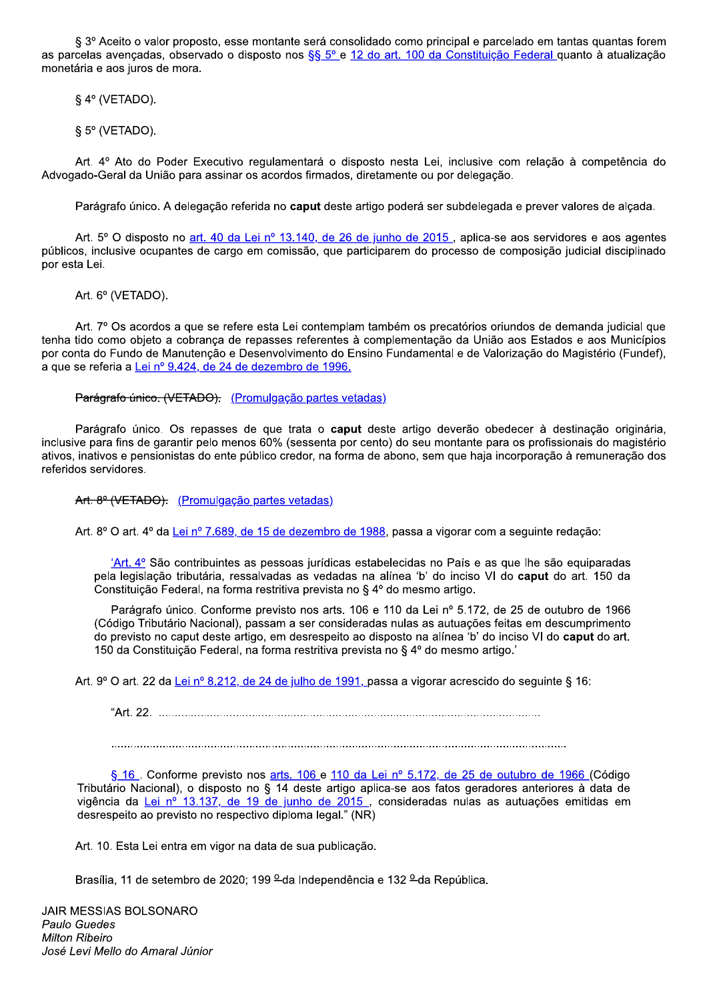§ 3º Aceito o valor proposto, esse montante será consolidado como principal e parcelado em tantas quantas forem as parcelas avençadas, observado o disposto nos §§ 5º e 12 do art. 100 da Constituição Federal quanto à atualização monetária e aos juros de mora.

§ 4° (VETADO).

§ 5° (VETADO).

Art. 4º Ato do Poder Executivo regulamentará o disposto nesta Lei, inclusive com relação à competência do Advogado-Geral da União para assinar os acordos firmados, diretamente ou por delegação.

Parágrafo único. A delegação referida no caput deste artigo poderá ser subdelegada e prever valores de alcada.

Art. 5° O disposto no art. 40 da Lei nº 13.140, de 26 de junho de 2015, aplica-se aos servidores e aos agentes públicos, inclusive ocupantes de cargo em comissão, que participarem do processo de composição judicial disciplinado por esta Lei.

Art. 6° (VETADO).

Art. 7° Os acordos a que se refere esta Lei contemplam também os precatórios oriundos de demanda judicial que tenha tido como objeto a cobranca de repasses referentes à complementação da União aos Estados e aos Municípios por conta do Fundo de Manutenção e Desenvolvimento do Ensino Fundamental e de Valorização do Magistério (Fundef), a que se referia a Lei nº 9.424, de 24 de dezembro de 1996.

Parágrafo único. (VETADO). (Promulgação partes vetadas)

Parágrafo único. Os repasses de que trata o caput deste artigo deverão obedecer à destinação originária, inclusive para fins de garantir pelo menos 60% (sessenta por cento) do seu montante para os profissionais do magistério ativos, inativos e pensionistas do ente público credor, na forma de abono, sem que haja incorporação à remuneração dos referidos servidores.

Art. 8º (VETADO). (Promulgação partes vetadas)

Art. 8º O art. 4º da Lei nº 7.689, de 15 de dezembro de 1988, passa a vigorar com a seguinte redação:

 $A<sup>t</sup> (At. 4<sup>o</sup>)$  São contribuintes as pessoas jurídicas estabelecidas no País e as que lhe são equiparadas pela legislação tributária, ressalvadas as vedadas na alínea 'b' do inciso VI do caput do art. 150 da Constituição Federal, na forma restritiva prevista no § 4º do mesmo artigo.

Parágrafo único. Conforme previsto nos arts. 106 e 110 da Lei nº 5.172, de 25 de outubro de 1966 (Código Tributário Nacional), passam a ser consideradas nulas as autuações feitas em descumprimento do previsto no caput deste artigo, em desrespeito ao disposto na alínea 'b' do inciso VI do caput do art. 150 da Constituição Federal, na forma restritiva prevista no § 4º do mesmo artigo.

Art. 9° O art. 22 da Lei nº 8.212, de 24 de julho de 1991, passa a vigorar acrescido do seguinte § 16:

§ 16. Conforme previsto nos arts. 106 e 110 da Lei nº 5.172, de 25 de outubro de 1966 (Código Tributário Nacional), o disposto no § 14 deste artigo aplica-se aos fatos geradores anteriores à data de vigência da Lei nº 13.137, de 19 de junho de 2015, consideradas nulas as autuações emitidas em desrespeito ao previsto no respectivo diploma legal." (NR)

Art. 10. Esta Lei entra em vigor na data de sua publicação.

Brasília, 11 de setembro de 2020; 199 <sup>o</sup> da Independência e 132 <sup>o</sup> da República.

**JAIR MESSIAS BOLSONARO** Paulo Guedes **Milton Ribeiro** José Levi Mello do Amaral Júnior